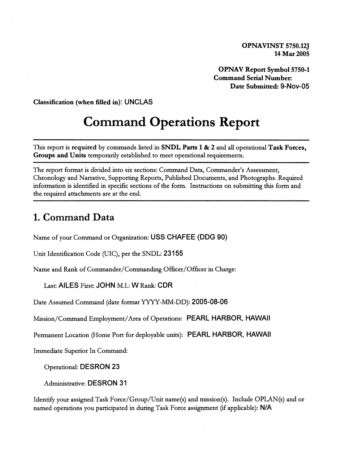**OPNAV Report Symbol 5750-1 Command Serial Number: Date Submitted:** 9-NOV-05

**Classification (when filled in):** UNCLAS

# **Command Operations Report**

This report is **required** by commands listed in **SNDL Parts 1** & **2** and all operational **Task Forces, Groups and Units** temporarily established to meet operational requirements.

The report format is divided into six sections: Command Data, Commander's Assessment, Chronology and Narrative, Supporting Reports, Published Documents, and Photographs. Required information is identified in specific sections of the form. Instructions on submitting this form and the required attachments are at the end.

### **1. Command Data**

Name of your Command or Organization: USS CHAFEE (DDG 90)

Unit Identification Code (UIC), per the SNDL: 231 55

Name and Rank of Commander/Commanding Officer/Officer in Charge:

Last: AILES First: JOHN M.I.: W Rank: CDR

Date Assumed Command (date format YYYY-MM-DD): 2005-08-06

Mission/Command Employment/Area of Operations: PEARL HARBOR, HAWAII

Permanent Location (Home Port for deployable units): PEARL HARBOR, HAWAII

Immediate Superior In Command:

Operational: DESRON 23

Administrative: DESRON 3 1

Identify your assigned Task Force/Group/Unit name(s) and mission(s). Include OPLAN(s) and or named operations you participated in during Task Force assignment (if applicable): N/A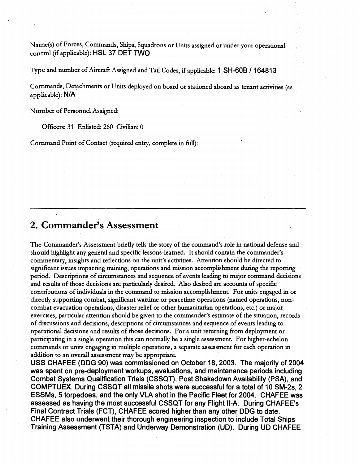Name(s) of Forces, Commands, Ships, Squadrons or Units assigned or under your operational control (if applicable): HSL 37 DET TWO

Type and number of Aircraft Asslgned and Tail Codes, if applicable: 1 SH-6OB / 16481 3

Commands, Detachments or Units deployed on board or stationed aboard as tenant activities (as applicable): NIA

Number of Personnel Assigned:

Officers: 31 Enlisted: 260 Civilian: 0

Command Point of Contact (required entty, complete in full):

#### **2. Commander's Assessment**

The Commander's Assessment briefly tells the story of the command's role in national defense and should highlight any general and specific lessons-learned. It should contain the commander's commentary, insights and reflections on the unit's activities. Attention should be directed to significant issues impacting training, operations and mission accomplishment during the reporting period. Descriptions of circumstances and sequence of events leadmg to major command decisions and results of those decisions are particularly desired. Also desired are accounts of specific contributions of individuals in the command to mission accomplishment. For units engaged in or directly supporting combat, significant wartime or peacetime operations (named operations, noncombat evacuation operations, disaster relief or other humanitarian operations, etc.) or major exercises, particular attention should be given to the commander's estimate of the situation, records of discussions and decisions, descriptions of circumstances and sequence of events leadmg to operational decisions and results of those decisions. For a unit returning from deployment or participating in a single operation this can normally be a single assessment. For higher-echelon commands or units engaging in multiple operations, a separate assessment for each operation in addition to an overall assessment may be appropriate.

USS CHAFEE (DDG 90) was commissioned on October 18,2003. The majority of 2004 was spent on pre-deployment workups, evaluations, and maintenance periods including Combat Systems Qualification Trials (CSSQT), Post Shakedown Availability (PSA), and COMPTUEX. During CSSQT all missile shots were successful for a total of 10 SM-2s, 2 ESSMs, 5 torpedoes, and the only **VLA** shot in the Pacific Fleet for 2004. CHAFEE was assessed as having the most successful CSSQT for any Flight Il-A. During CHAFEE's Final Contract Trials (FCT), CHAFEE scored higher than any other DDG to date. CHAFEE also underwent their thorough engineering inspection to include Total Ships Training Assessment (TSTA) and Underway Demonstration (UD). During UD CHAFEE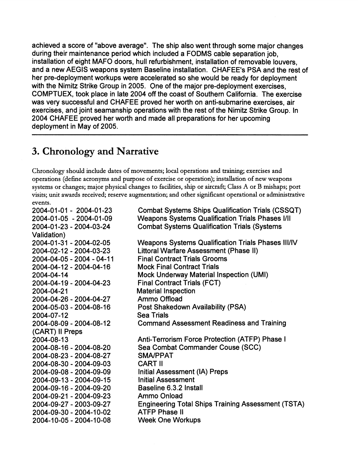achieved a score of "above average". The ship also went through some major changes during their maintenance period which included a FODMS cable separation job, installation of eight MAFO doors, hull refurbishment, installation of removable louvers, and a new AEGIS weapons system Baseline installation. CHAFEE's PSA and the rest of her pre-deployment workups were accelerated so she would be ready for deployment with the Nimitz Strike Group in 2005. One of the major pre-deployment exercises, COMPTUEX, took place in late 2004 off the coast of Southern California. The exercise was very successful and CHAFEE proved her worth on anti-submarine exercises, air exercises, and joint seamanship operations with the rest of the Nimitz Strike Group. In 2004 CHAFEE proved her worth and made all preparations for her upcoming deployment in May of 2005.

# 3. Chronology and Narrative

Chronology should include dates of movements; local operations and training; exercises and operations (define acronyms and purpose of exercise or operation); installation of new weapons systems or changes; major physical changes to facilities, ship or aircraft; Class **A** or B mishaps; port visits; unit awards received; reserve augmentation; and other significant operational or administrative events.

2004-01 -0 1 - 2004-01 -23 Combat Systems Ships Qualification Trials (CSSQT) 2004-01-05 - 2004-01-09 Weapons Systems Qualification Trials Phases 1/11 2004-01 -23 - 2004-03-24 Combat Systems Qualification Trials (Systems Validation) 2004-01 -31 - 2004-02-05 Weapons Systems Qualification Trials Phases III/IV 2004-02-1 2 - 2004-03-23 Littoral Warfare Assessment (Phase II) 2004-04-05 - 2004 - 04-1 1 Final Contract Trials Grooms 2004-04-12 - 2004-04-16 Mock Final Contract Trials 2004-04-1 4 Mock Underway Material Inspection (UMI) 2004-04-1 9 - 2004-04-23 Final Contract Trials (FCT) 2004-04-2 1 Material Inspection 2004-04-26 - 2004-04-27 Ammo Offload 2004-05-03 - 2004-08-1 6 Post Shakedown Availability (PSA) 2004-07-12 Sea Trials 2004-08-09 - 2004-08-1 2 Command Assessment Readiness and Training (CART) II Preps 2004-08-13 **Anti-Terrorism Force Protection (ATFP) Phase I** 2004-08-16 - 2004-08-20 Sea Combat Commander Couse (SCC) 2004-08-23 - 2004-08-27 SMAIPPAT 2004-08-30 - 2004-09-03 CART II 2004-09-08 - 2004-09-09 Initial Assessment (IA) Preps 2004-09-13 - 2004-09-15 **Initial Assessment** 2004-09-16 - 2004-09-20 Baseline 6.3.2 Install 2004-09-2 1 - 2004-09-23 Ammo Onload 2004-09-27 - 2003-09-27 Engineering Total Ships Training Assessment (TSTA) 2004-09-30 - 2004-10-02 ATFP Phase II 2004-10-05 - 2004-10-08 Week One Workups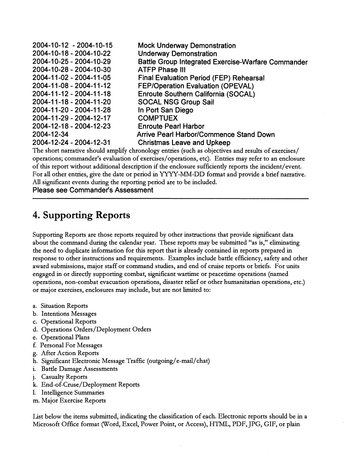| <b>Mock Underway Demonstration</b>                        |
|-----------------------------------------------------------|
| <b>Underway Demonstration</b>                             |
| <b>Battle Group Integrated Exercise-Warfare Commander</b> |
| <b>ATFP Phase III</b>                                     |
| <b>Final Evaluation Period (FEP) Rehearsal</b>            |
| <b>FEP/Operation Evaluation (OPEVAL)</b>                  |
| Enroute Southern California (SOCAL)                       |
| <b>SOCAL NSG Group Sail</b>                               |
| In Port San Diego                                         |
| <b>COMPTUEX</b>                                           |
| <b>Enroute Pearl Harbor</b>                               |
| <b>Arrive Pearl Harbor/Commence Stand Down</b>            |
| <b>Christmas Leave and Upkeep</b>                         |
|                                                           |

The short narrative should amplify chronology entries (such as objectives and results of exercises/ operations; commander's evaluation of exercises/operations, etc). Entries may refer to an enclosure of this report without additional description if the enclosure sufficiently reports the incident/event. For all other entries, give the date or period in YYYY-MM-DD format and provide a brief narrative. All significant events during the reporting period are to be included.

**Please see Commander's Assessment** 

# **4. Supporting Reports**

Supporting Reports are those reports required by other instructions that provide significant data about the command during the calendar year. These reports may be submitted "as is," eliminating the need to duplicate information for this report that is already contained in reports prepared in response to other instructions and requirements. Examples include battle efficiency, safety and other award submissions, major staff or command studies, and end of cruise reports or briefs. For units engaged in or directly supporting combat, significant wartime or peacetime operations (named operations, non-combat evacuation operations, disaster relief or other humanitarian operations, etc.) or major exercises, enclosures may include, but are not limited to:

- a. Situation Reports
- b. Intentions Messages
- c. Operational Reports
- d. Operations Orders/Deployment Orders
- e. Operational Plans
- f. Personal For Messages
- g. After Action Reports
- h. Significant Electronic Message Traffic (outgoing/e-mail/chat)
- i. Battle Damage Assessments
- j. Casualty Reports
- k. End-of-Cruse/Deployment Reports
- 1. Intelligence Summaries
- m. Major Exercise Reports

List below the items submitted, indicating the classification of each. Electronic reports should be in a Microsoft Office format (Word, Excel, Power Point, or Access), HTML, PDF, JPG, GIF, or plain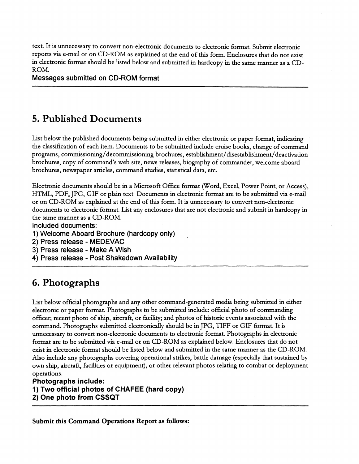text. It is unnecessary to convert non-electronic documents to electronic format. Submit electronic reports via e-mail or on CD-ROM as explained at the end of this form. Enclosures that do not exist in electronic format should be listed below and submitted in hardcopy in the same manner as a CD-ROM.

Messages submitted on CD-ROM format

## **5. Published Documents**

List below the published documents being submitted in either electronic or paper format, indicating the classification of each item. Documents to be submitted include cruise books, change of command programs, **commissioning/decommissioning** brochures, **establishment/&sestablishrnent/deactivation**  brochures, copy of command's web site, news releases, biography of commander, welcome aboard brochures, newspaper articles, command studies, statistical data, etc.

Electronic documents should be in a Microsoft Office format (Word, Excel, Power Point, or Access), HTML, PDF, JPG, GIF or plain text. Documents in electronic format are to be submitted via e-mail or on CD-ROM as explained at the end of this form. It is unnecessary to convert non-electronic documents to electronic format. List any enclosures that are not electronic and submit in hardcopy in the same manner as a CD-ROM.

Included documents:

1) Welcome Aboard Brochure (hardcopy only)

2) Press release - MEDEVAC

3) Press release - Make A Wish

4) Press release - Post Shakedown Availability

### **6. Photographs**

List below official photographs and any other command-generated media being submitted in either electronic or paper format. Photographs to be submitted include: official photo of commanding officer; recent photo of ship, aircraft, or facility; and photos of historic events associated with the command. Photographs submitted electronically should be in JPG, TIFF or GIF format. It is unnecessary to convert non-electronic documents to electronic format. Photographs in electronic format are to be submitted via e-mail or on CD-ROM as explained below. Enclosures that do not exist in electronic format should be listed below and submitted in the same manner as the CD-ROM. Also include any photographs covering operational strikes, battle damage (especially that sustained by own ship, aitcraft, facilities or equipment), or other relevant photos relating to combat or deployment operations.

**Photographs include:** 

1) **Two official photos of CHAFEE (hard copy) 2) One photo from CSSQT** 

**Submit this Command Operations Report as follows:**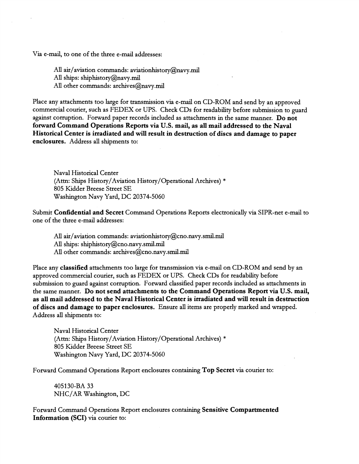Via e-mail, to one of the three e-mail addresses:

All air/aviation commands: aviationhistory@navy.mil All ships: shiphistory@navy.mil

All other commands: archives@navy.mil

Place any attachments too large for transmission via e-mail on CD-ROM and send by an approved commercial courier, such as FEDEX or UPS. Check CDs for readability before submission to guard against corruption. Forward paper records included as attachments in the same manner. Do not forward Command Operations Reports via U.S. mail, as all mail addressed to the Naval Historical Center is irradiated and will result in destruction of discs and damage to paper enclosures. Address **all** shipments to:

Naval Historical Center (Attn: Ships History/Aviation History/Operational Archives) \* 805 Kidder Breese Street SE Washington Navy Yard, DC 20374-5060

Submit Confidential and Secret Command Operations Reports electronically via SIPR-net e-mail to one of the three e-mail addresses:

All air/aviation commands: aviationhistory@cno.navy.smil.mil All ships: shiphistory@cno.navy.smil.mil All other commands: **archives@cno.navy.smil.mil** 

Place any classified attachments too large for transmission via e-mail on CD-ROM and send by an approved commercial courier, such as FEDEX or UPS. Check CDs for readability before submission to guard against corruption. Forward classified paper records included as attachments in the same manner. Do not send attachments to the Command Operations Report via U.S. mail, as all mail addressed to the Naval Historical Center is irradiated and will result in destruction of discs and damage to paper enclosures. Ensure all items are properly marked and wrapped. Address all shipments to:

Naval Historical Center (Attn: Ships History/Aviation History/Operational Archives) \* 805 Kidder Breese Street SE Washington Navy Yard, DC 20374-5060

Forward Command Operations Report enclosures containing Top Secret via courier to:

405130-BA 33 NHC/AR Washington, DC

Forward Command Operations Report enclosures containing Sensitive Compartmented Information (SCI) via courier to: